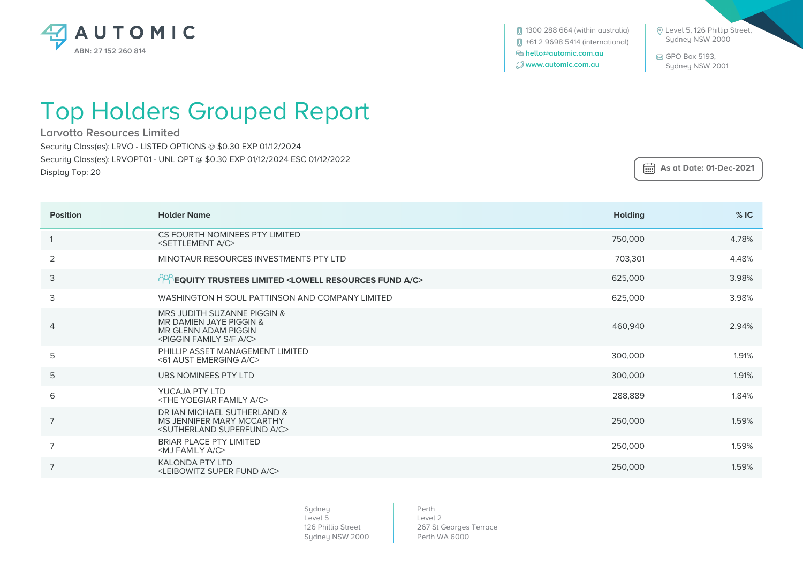

 Level 5, 126 Phillip Street, Sydney NSW 2000

 GPO Box 5193, Sydney NSW 2001

## Top Holders Grouped Report

**Larvotto Resources Limited**

Security Class(es): LRVO - LISTED OPTIONS @ \$0.30 EXP 01/12/2024

Security Class(es): LRVOPT01 - UNL OPT @ \$0.30 EXP 01/12/2024 ESC 01/12/2022

Display Top: 20

 **As at Date: 01-Dec-2021**

| <b>Position</b> | <b>Holder Name</b>                                                                                                                       | <b>Holding</b> | %IC   |
|-----------------|------------------------------------------------------------------------------------------------------------------------------------------|----------------|-------|
|                 | CS FOURTH NOMINEES PTY LIMITED<br><settlement a="" c=""></settlement>                                                                    | 750,000        | 4.78% |
| $\overline{2}$  | MINOTAUR RESOURCES INVESTMENTS PTY LTD                                                                                                   | 703,301        | 4.48% |
| 3               | $^{190}$ EQUITY TRUSTEES LIMITED <lowell a="" c="" fund="" resources=""></lowell>                                                        | 625,000        | 3.98% |
| 3               | WASHINGTON H SOUL PATTINSON AND COMPANY LIMITED                                                                                          | 625,000        | 3.98% |
| $\overline{4}$  | MRS JUDITH SUZANNE PIGGIN &<br>MR DAMIEN JAYE PIGGIN &<br><b>MR GLENN ADAM PIGGIN</b><br><piggin a="" c="" f="" family="" s=""></piggin> | 460,940        | 2.94% |
| 5               | PHILLIP ASSET MANAGEMENT LIMITED<br><61 AUST EMERGING A/C>                                                                               | 300,000        | 1.91% |
| 5               | UBS NOMINEES PTY LTD                                                                                                                     | 300,000        | 1.91% |
| 6               | YUCAJA PTY LTD<br><the a="" c="" family="" yoegiar=""></the>                                                                             | 288,889        | 1.84% |
| 7               | DR JAN MICHAEL SUTHERLAND &<br>MS JENNIFER MARY MCCARTHY<br><sutherland a="" c="" superfund=""></sutherland>                             | 250,000        | 1.59% |
| 7               | <b>BRIAR PLACE PTY LIMITED</b><br><mj a="" c="" family=""></mj>                                                                          | 250,000        | 1.59% |
| $\overline{7}$  | <b>KALONDA PTY LTD</b><br><leibowitz a="" c="" fund="" super=""></leibowitz>                                                             | 250,000        | 1.59% |

Sydney Level 5 126 Phillip Street Sydney NSW 2000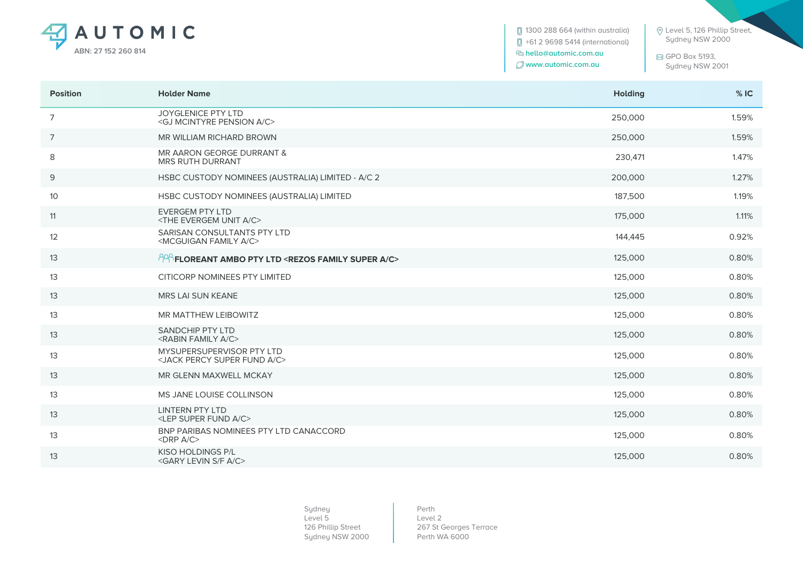

**0** 1300 288 664 (within australia) +61 2 9698 5414 (international)  **hello@automic.com.au www.automic.com.au**

 Level 5, 126 Phillip Street, Sydney NSW 2000

 GPO Box 5193, Sydney NSW 2001

| <b>Position</b> | <b>Holder Name</b>                                                             | <b>Holding</b> | %IC   |
|-----------------|--------------------------------------------------------------------------------|----------------|-------|
| $\overline{7}$  | <b>JOYGLENICE PTY LTD</b><br><gj a="" c="" mcintyre="" pension=""></gj>        | 250,000        | 1.59% |
| $\overline{7}$  | MR WILLIAM RICHARD BROWN                                                       | 250,000        | 1.59% |
| 8               | MR AARON GEORGE DURRANT &<br><b>MRS RUTH DURRANT</b>                           | 230,471        | 1.47% |
| 9               | HSBC CUSTODY NOMINEES (AUSTRALIA) LIMITED - A/C 2                              | 200,000        | 1.27% |
| 10              | HSBC CUSTODY NOMINEES (AUSTRALIA) LIMITED                                      | 187,500        | 1.19% |
| 11              | <b>EVERGEM PTY LTD</b><br><the a="" c="" evergem="" unit=""></the>             | 175,000        | 1.11% |
| 12              | SARISAN CONSULTANTS PTY LTD<br><mcguigan a="" c="" family=""></mcguigan>       | 144,445        | 0.92% |
| 13              | <b>PPP FLOREANT AMBO PTY LTD <rezos a="" c="" family="" super=""></rezos></b>  | 125,000        | 0.80% |
| 13              | <b>CITICORP NOMINEES PTY LIMITED</b>                                           | 125,000        | 0.80% |
| 13              | <b>MRS LAI SUN KEANE</b>                                                       | 125,000        | 0.80% |
| 13              | MR MATTHEW LEIBOWITZ                                                           | 125,000        | 0.80% |
| 13              | SANDCHIP PTY LTD<br><rabin a="" c="" family=""></rabin>                        | 125,000        | 0.80% |
| 13              | MYSUPERSUPERVISOR PTY LTD<br><jack a="" c="" fund="" percy="" super=""></jack> | 125,000        | 0.80% |
| 13              | MR GLENN MAXWELL MCKAY                                                         | 125,000        | 0.80% |
| 13              | MS JANE LOUISE COLLINSON                                                       | 125,000        | 0.80% |
| 13              | <b>LINTERN PTY LTD</b><br><lep a="" c="" fund="" super=""></lep>               | 125,000        | 0.80% |
| 13              | BNP PARIBAS NOMINEES PTY LTD CANACCORD<br>$<$ DRP A/C $>$                      | 125,000        | 0.80% |
| 13              | <b>KISO HOLDINGS P/L</b><br><gary a="" c="" f="" levin="" s=""></gary>         | 125,000        | 0.80% |

Sydney Level 5 126 Phillip Street Sydney NSW 2000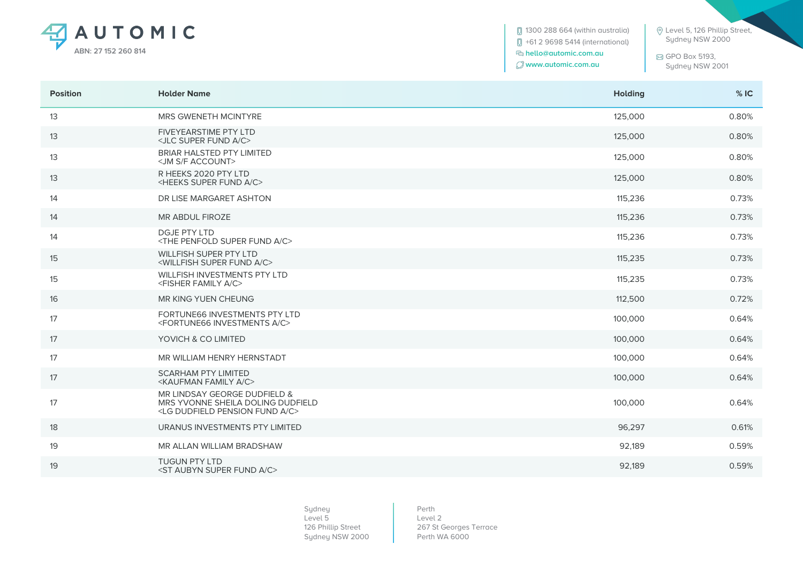

**[**] 1300 288 664 (within australia) +61 2 9698 5414 (international)  **hello@automic.com.au www.automic.com.au**

 Level 5, 126 Phillip Street, Sydney NSW 2000

 GPO Box 5193, Sydney NSW 2001

| <b>Position</b> | <b>Holder Name</b>                                                                                                      | <b>Holding</b> | %IC   |
|-----------------|-------------------------------------------------------------------------------------------------------------------------|----------------|-------|
| 13              | MRS GWENETH MCINTYRE                                                                                                    | 125,000        | 0.80% |
| 13              | <b>FIVEYEARSTIME PTY LTD</b><br><jlc a="" c="" fund="" super=""></jlc>                                                  | 125,000        | 0.80% |
| 13              | <b>BRIAR HALSTED PTY LIMITED</b><br><jm account="" f="" s=""></jm>                                                      | 125,000        | 0.80% |
| 13              | R HEEKS 2020 PTY LTD<br><heeks a="" c="" fund="" super=""></heeks>                                                      | 125,000        | 0.80% |
| 14              | DR LISE MARGARET ASHTON                                                                                                 | 115,236        | 0.73% |
| 14              | MR ABDUL FIROZE                                                                                                         | 115,236        | 0.73% |
| 14              | <b>DGJE PTY LTD</b><br><the a="" c="" fund="" penfold="" super=""></the>                                                | 115,236        | 0.73% |
| 15              | <b>WILLFISH SUPER PTY LTD</b><br><willfish a="" c="" fund="" super=""></willfish>                                       | 115,235        | 0.73% |
| 15              | WILLFISH INVESTMENTS PTY LTD<br><fisher a="" c="" family=""></fisher>                                                   | 115,235        | 0.73% |
| 16              | MR KING YUEN CHEUNG                                                                                                     | 112,500        | 0.72% |
| 17              | FORTUNE66 INVESTMENTS PTY LTD<br><fortune66 a="" c="" investments=""></fortune66>                                       | 100,000        | 0.64% |
| 17              | YOVICH & CO LIMITED                                                                                                     | 100,000        | 0.64% |
| 17              | MR WILLIAM HENRY HERNSTADT                                                                                              | 100,000        | 0.64% |
| 17              | <b>SCARHAM PTY LIMITED</b><br><kaufman a="" c="" family=""></kaufman>                                                   | 100,000        | 0.64% |
| 17              | MR LINDSAY GEORGE DUDFIELD &<br>MRS YVONNE SHEILA DOLING DUDFIELD<br><lg a="" c="" dudfield="" fund="" pension=""></lg> | 100,000        | 0.64% |
| 18              | URANUS INVESTMENTS PTY LIMITED                                                                                          | 96,297         | 0.61% |
| 19              | MR ALLAN WILLIAM BRADSHAW                                                                                               | 92,189         | 0.59% |
| 19              | <b>TUGUN PTY LTD</b><br><st a="" aubyn="" c="" fund="" super=""></st>                                                   | 92,189         | 0.59% |

Sydney Level 5 126 Phillip Street Sydney NSW 2000